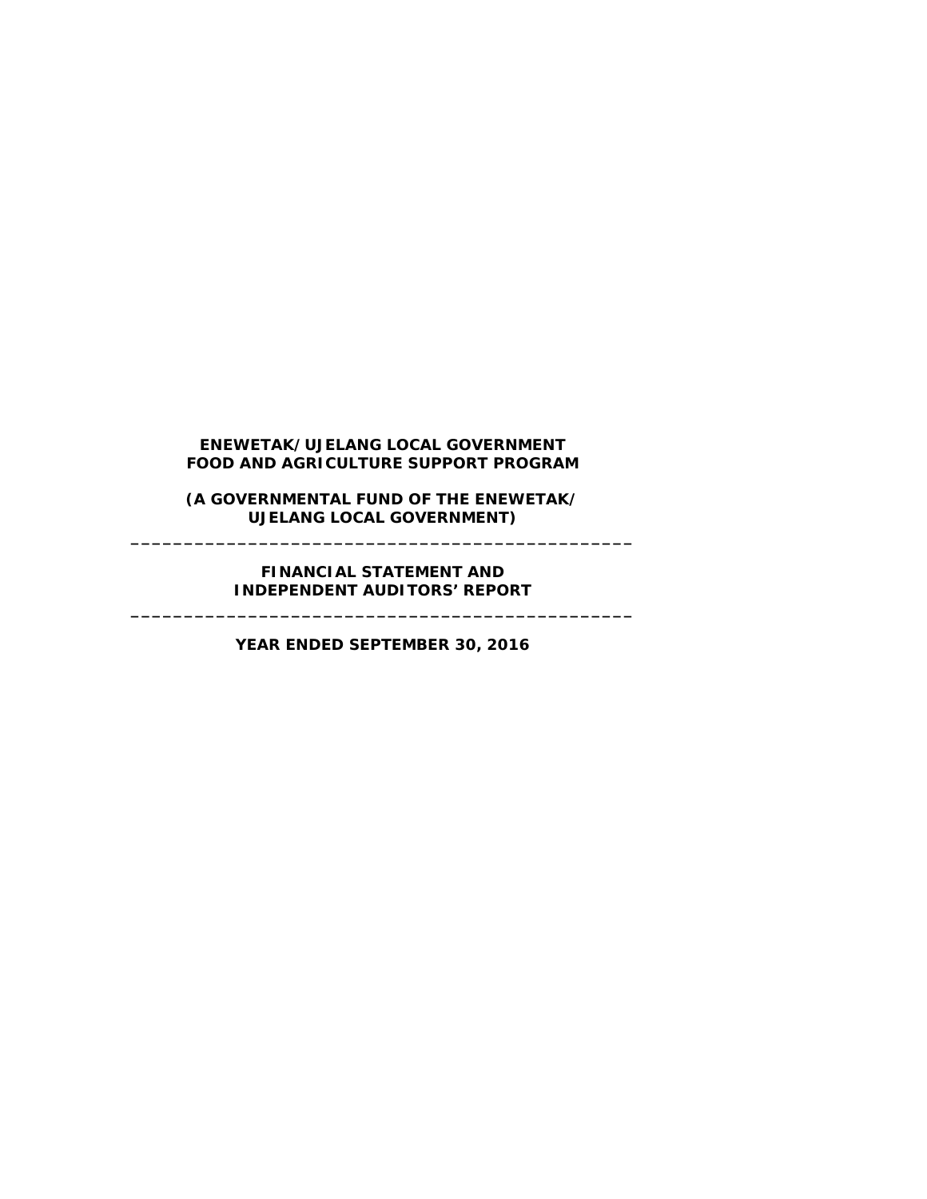**(A GOVERNMENTAL FUND OF THE ENEWETAK/ UJELANG LOCAL GOVERNMENT) \_\_\_\_\_\_\_\_\_\_\_\_\_\_\_\_\_\_\_\_\_\_\_\_\_\_\_\_\_\_\_\_\_\_\_\_\_\_\_\_\_\_\_\_\_\_\_**

# **FINANCIAL STATEMENT AND INDEPENDENT AUDITORS' REPORT \_\_\_\_\_\_\_\_\_\_\_\_\_\_\_\_\_\_\_\_\_\_\_\_\_\_\_\_\_\_\_\_\_\_\_\_\_\_\_\_\_\_\_\_\_\_\_**

**YEAR ENDED SEPTEMBER 30, 2016**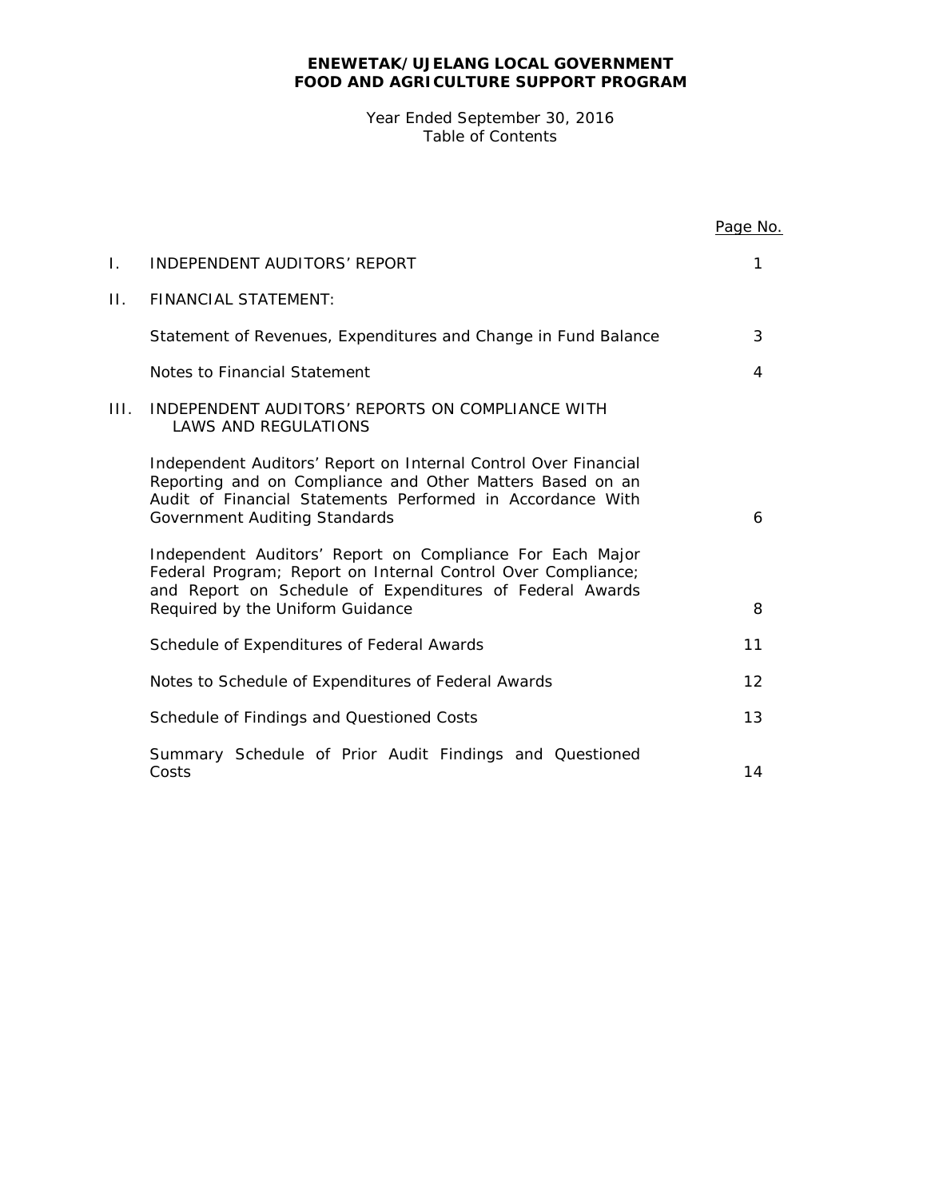Year Ended September 30, 2016 Table of Contents

|              |                                                                                                                                                                                                                                    | Page No. |
|--------------|------------------------------------------------------------------------------------------------------------------------------------------------------------------------------------------------------------------------------------|----------|
| $\mathbf{L}$ | INDEPENDENT AUDITORS' REPORT                                                                                                                                                                                                       | 1        |
| $\Pi$ .      | <b>FINANCIAL STATEMENT:</b>                                                                                                                                                                                                        |          |
|              | Statement of Revenues, Expenditures and Change in Fund Balance                                                                                                                                                                     | 3        |
|              | Notes to Financial Statement                                                                                                                                                                                                       | 4        |
| III.         | INDEPENDENT AUDITORS' REPORTS ON COMPLIANCE WITH<br><b>LAWS AND REGULATIONS</b>                                                                                                                                                    |          |
|              | Independent Auditors' Report on Internal Control Over Financial<br>Reporting and on Compliance and Other Matters Based on an<br>Audit of Financial Statements Performed in Accordance With<br><b>Government Auditing Standards</b> | 6        |
|              | Independent Auditors' Report on Compliance For Each Major<br>Federal Program; Report on Internal Control Over Compliance;<br>and Report on Schedule of Expenditures of Federal Awards<br>Required by the Uniform Guidance          | 8        |
|              | Schedule of Expenditures of Federal Awards                                                                                                                                                                                         | 11       |
|              | Notes to Schedule of Expenditures of Federal Awards                                                                                                                                                                                | 12       |
|              | Schedule of Findings and Questioned Costs                                                                                                                                                                                          | 13       |
|              | Summary Schedule of Prior Audit Findings and Questioned<br>Costs                                                                                                                                                                   | 14       |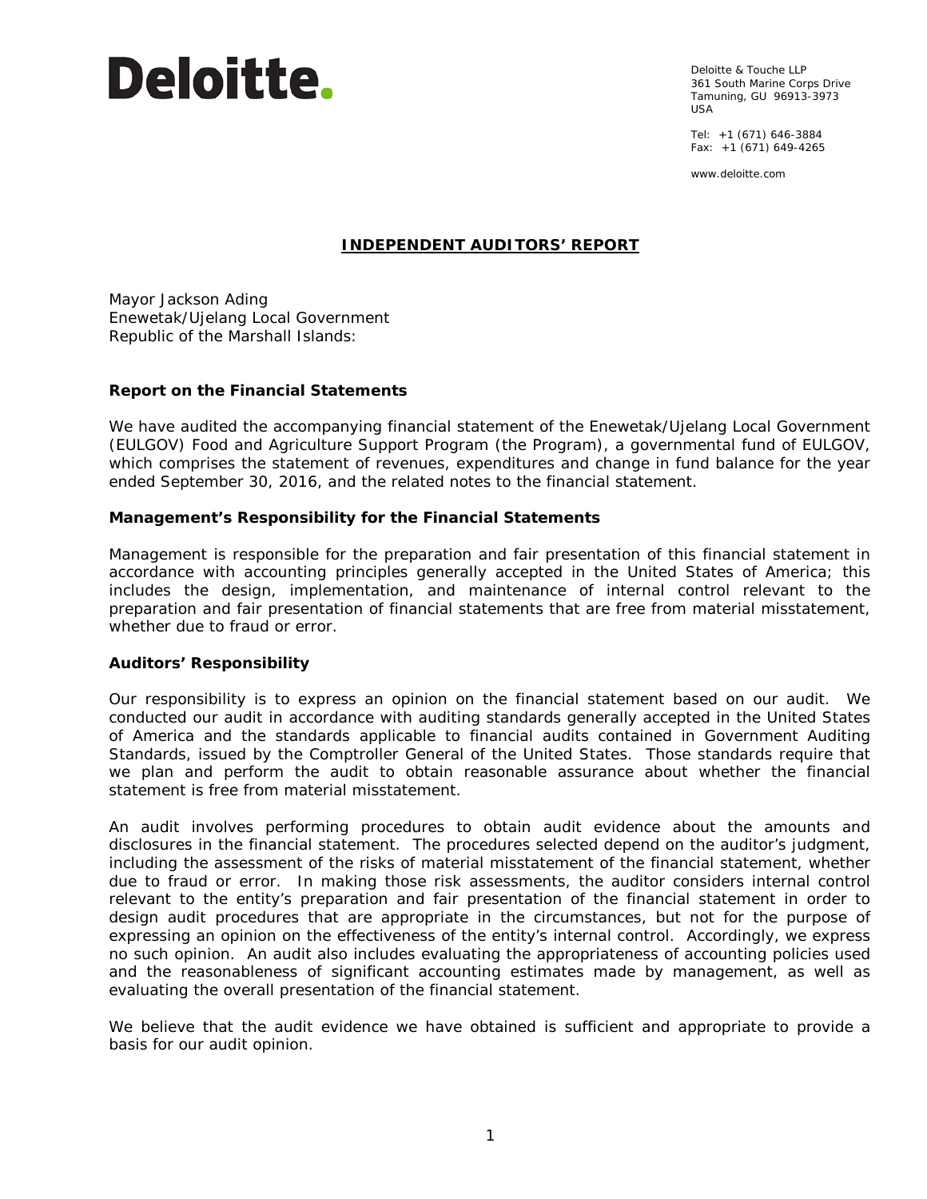Deloitte & Touche LLP 361 South Marine Corps Drive Tamuning, GU 96913-3973 USA

Tel: +1 (671) 646-3884 Fax: +1 (671) 649-4265

www.deloitte.com

# **INDEPENDENT AUDITORS' REPORT**

Mayor Jackson Ading Enewetak/Ujelang Local Government Republic of the Marshall Islands:

# **Report on the Financial Statements**

We have audited the accompanying financial statement of the Enewetak/Ujelang Local Government (EULGOV) Food and Agriculture Support Program (the Program), a governmental fund of EULGOV, which comprises the statement of revenues, expenditures and change in fund balance for the year ended September 30, 2016, and the related notes to the financial statement.

## *Management's Responsibility for the Financial Statements*

Management is responsible for the preparation and fair presentation of this financial statement in accordance with accounting principles generally accepted in the United States of America; this includes the design, implementation, and maintenance of internal control relevant to the preparation and fair presentation of financial statements that are free from material misstatement, whether due to fraud or error.

#### *Auditors' Responsibility*

Our responsibility is to express an opinion on the financial statement based on our audit. We conducted our audit in accordance with auditing standards generally accepted in the United States of America and the standards applicable to financial audits contained in *Government Auditing Standards*, issued by the Comptroller General of the United States. Those standards require that we plan and perform the audit to obtain reasonable assurance about whether the financial statement is free from material misstatement.

An audit involves performing procedures to obtain audit evidence about the amounts and disclosures in the financial statement. The procedures selected depend on the auditor's judgment, including the assessment of the risks of material misstatement of the financial statement, whether due to fraud or error. In making those risk assessments, the auditor considers internal control relevant to the entity's preparation and fair presentation of the financial statement in order to design audit procedures that are appropriate in the circumstances, but not for the purpose of expressing an opinion on the effectiveness of the entity's internal control. Accordingly, we express no such opinion. An audit also includes evaluating the appropriateness of accounting policies used and the reasonableness of significant accounting estimates made by management, as well as evaluating the overall presentation of the financial statement.

We believe that the audit evidence we have obtained is sufficient and appropriate to provide a basis for our audit opinion.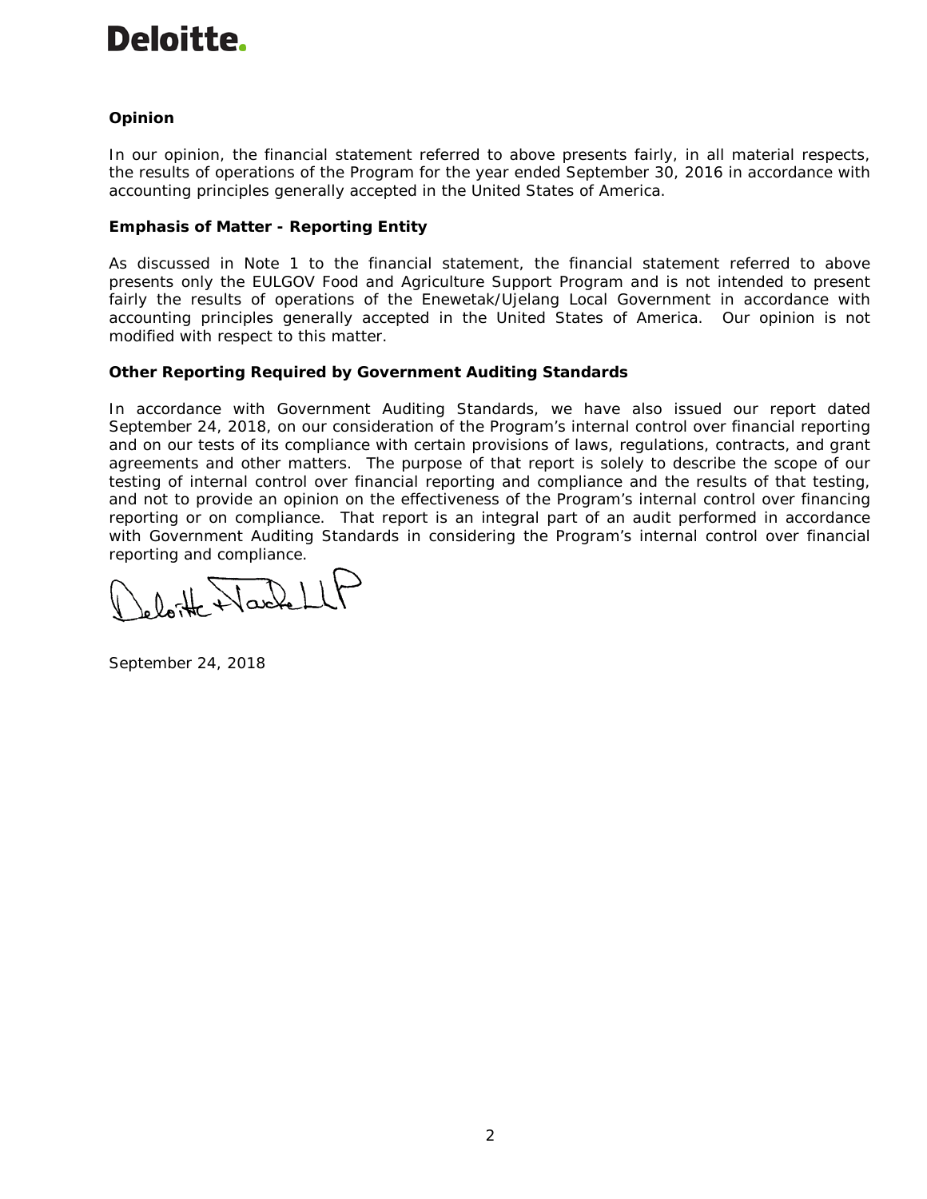# *Opinion*

In our opinion, the financial statement referred to above presents fairly, in all material respects, the results of operations of the Program for the year ended September 30, 2016 in accordance with accounting principles generally accepted in the United States of America.

# **Emphasis of Matter - Reporting Entity**

As discussed in Note 1 to the financial statement, the financial statement referred to above presents only the EULGOV Food and Agriculture Support Program and is not intended to present fairly the results of operations of the Enewetak/Ujelang Local Government in accordance with accounting principles generally accepted in the United States of America. Our opinion is not modified with respect to this matter.

# **Other Reporting Required by** *Government Auditing Standards*

In accordance with *Government Auditing Standards*, we have also issued our report dated September 24, 2018, on our consideration of the Program's internal control over financial reporting and on our tests of its compliance with certain provisions of laws, regulations, contracts, and grant agreements and other matters. The purpose of that report is solely to describe the scope of our testing of internal control over financial reporting and compliance and the results of that testing, and not to provide an opinion on the effectiveness of the Program's internal control over financing reporting or on compliance. That report is an integral part of an audit performed in accordance with *Government Auditing Standards* in considering the Program's internal control over financial reporting and compliance.

lotte Harlet

September 24, 2018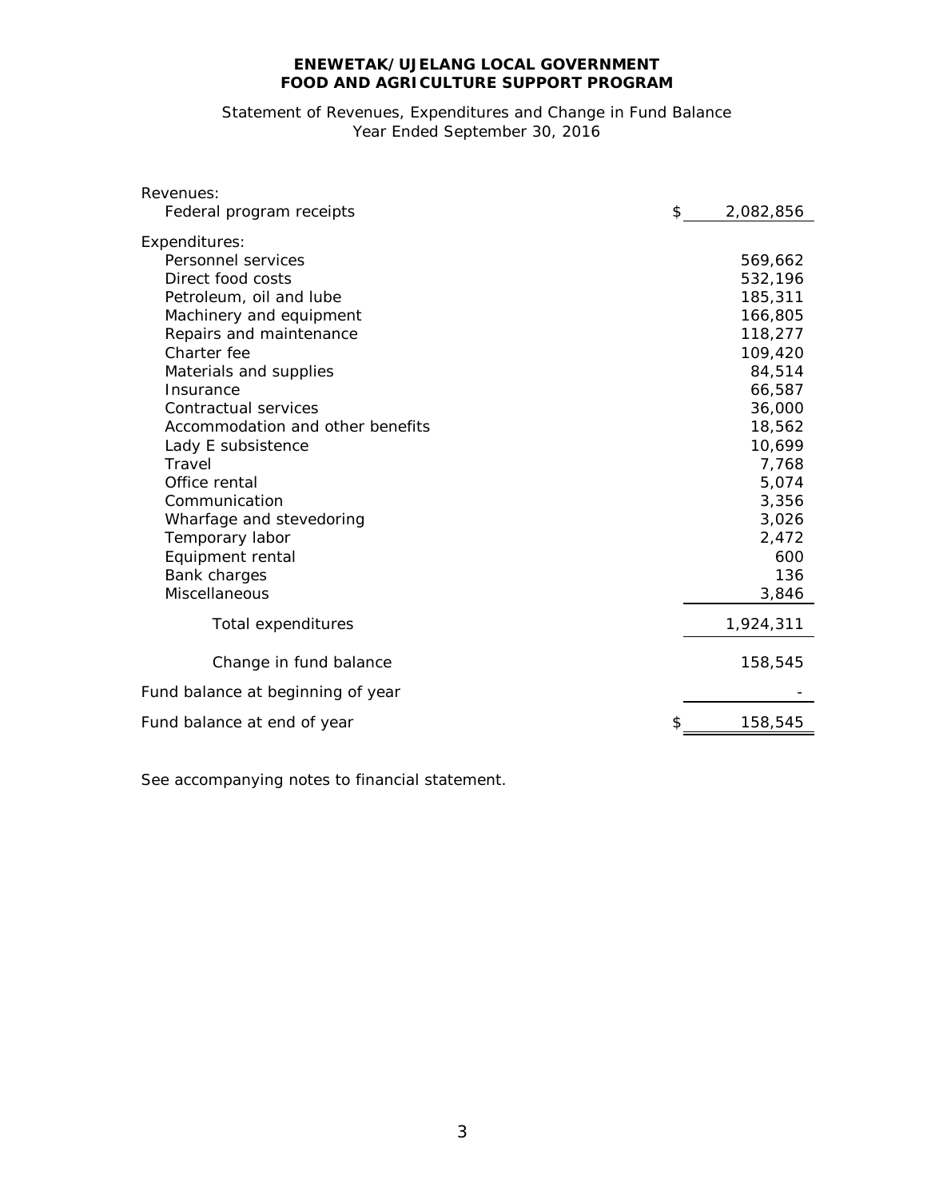# Statement of Revenues, Expenditures and Change in Fund Balance Year Ended September 30, 2016

| Revenues:                         |           |  |
|-----------------------------------|-----------|--|
| Federal program receipts<br>\$    | 2,082,856 |  |
| Expenditures:                     |           |  |
| Personnel services                | 569,662   |  |
| Direct food costs                 | 532,196   |  |
| Petroleum, oil and lube           | 185,311   |  |
| Machinery and equipment           | 166,805   |  |
| Repairs and maintenance           | 118,277   |  |
| Charter fee                       | 109,420   |  |
| Materials and supplies            | 84,514    |  |
| Insurance                         | 66,587    |  |
| Contractual services              | 36,000    |  |
| Accommodation and other benefits  | 18,562    |  |
| Lady E subsistence                | 10,699    |  |
| Travel                            | 7,768     |  |
| Office rental                     | 5,074     |  |
| Communication                     | 3,356     |  |
| Wharfage and stevedoring          | 3,026     |  |
| Temporary labor                   | 2,472     |  |
| Equipment rental                  | 600       |  |
| Bank charges                      | 136       |  |
| Miscellaneous                     | 3,846     |  |
| Total expenditures                | 1,924,311 |  |
| Change in fund balance            | 158,545   |  |
|                                   |           |  |
| Fund balance at beginning of year |           |  |
| Fund balance at end of year       | 158,545   |  |

See accompanying notes to financial statement.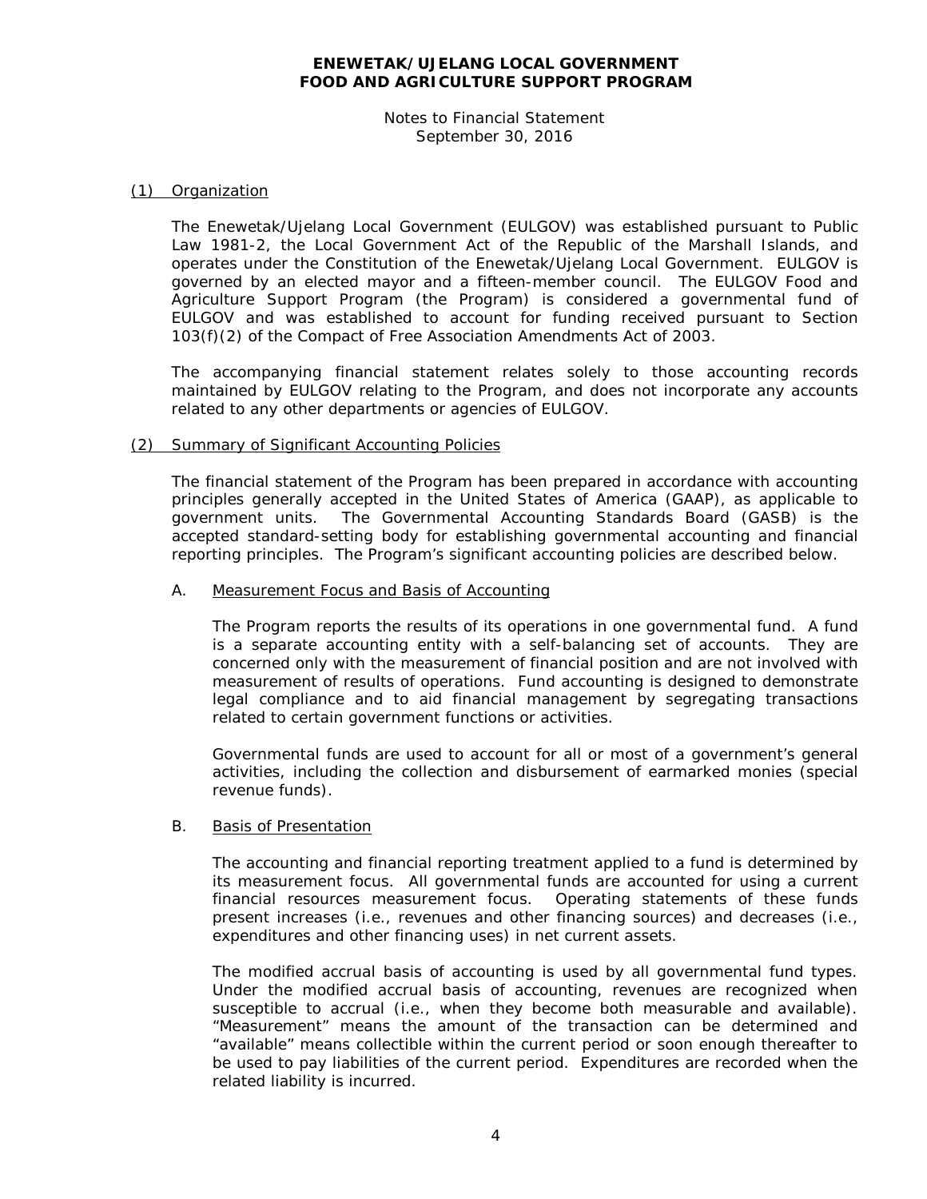Notes to Financial Statement September 30, 2016

#### (1) Organization

The Enewetak/Ujelang Local Government (EULGOV) was established pursuant to Public Law 1981-2, the Local Government Act of the Republic of the Marshall Islands, and operates under the Constitution of the Enewetak/Ujelang Local Government. EULGOV is governed by an elected mayor and a fifteen-member council. The EULGOV Food and Agriculture Support Program (the Program) is considered a governmental fund of EULGOV and was established to account for funding received pursuant to Section 103(f)(2) of the Compact of Free Association Amendments Act of 2003.

The accompanying financial statement relates solely to those accounting records maintained by EULGOV relating to the Program, and does not incorporate any accounts related to any other departments or agencies of EULGOV.

## (2) Summary of Significant Accounting Policies

The financial statement of the Program has been prepared in accordance with accounting principles generally accepted in the United States of America (GAAP), as applicable to government units. The Governmental Accounting Standards Board (GASB) is the accepted standard-setting body for establishing governmental accounting and financial reporting principles. The Program's significant accounting policies are described below.

#### A. Measurement Focus and Basis of Accounting

The Program reports the results of its operations in one governmental fund. A fund is a separate accounting entity with a self-balancing set of accounts. They are concerned only with the measurement of financial position and are not involved with measurement of results of operations. Fund accounting is designed to demonstrate legal compliance and to aid financial management by segregating transactions related to certain government functions or activities.

Governmental funds are used to account for all or most of a government's general activities, including the collection and disbursement of earmarked monies (special revenue funds).

#### B. Basis of Presentation

The accounting and financial reporting treatment applied to a fund is determined by its measurement focus. All governmental funds are accounted for using a current financial resources measurement focus. Operating statements of these funds present increases (i.e., revenues and other financing sources) and decreases (i.e., expenditures and other financing uses) in net current assets.

The modified accrual basis of accounting is used by all governmental fund types. Under the modified accrual basis of accounting, revenues are recognized when susceptible to accrual (i.e., when they become both measurable and available). "Measurement" means the amount of the transaction can be determined and "available" means collectible within the current period or soon enough thereafter to be used to pay liabilities of the current period. Expenditures are recorded when the related liability is incurred.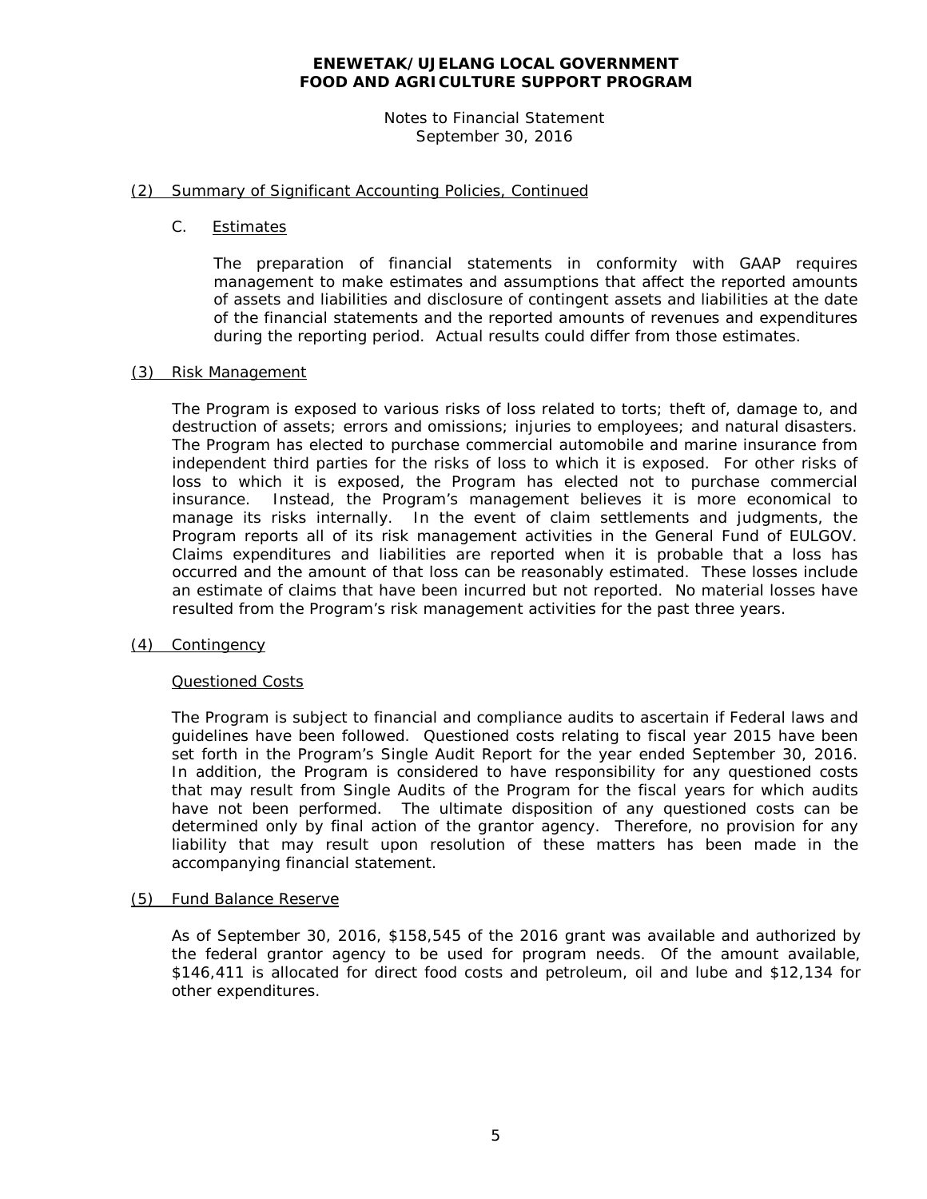Notes to Financial Statement September 30, 2016

# (2) Summary of Significant Accounting Policies, Continued

C. Estimates

The preparation of financial statements in conformity with GAAP requires management to make estimates and assumptions that affect the reported amounts of assets and liabilities and disclosure of contingent assets and liabilities at the date of the financial statements and the reported amounts of revenues and expenditures during the reporting period. Actual results could differ from those estimates.

## (3) Risk Management

The Program is exposed to various risks of loss related to torts; theft of, damage to, and destruction of assets; errors and omissions; injuries to employees; and natural disasters. The Program has elected to purchase commercial automobile and marine insurance from independent third parties for the risks of loss to which it is exposed. For other risks of loss to which it is exposed, the Program has elected not to purchase commercial insurance. Instead, the Program's management believes it is more economical to manage its risks internally. In the event of claim settlements and judgments, the Program reports all of its risk management activities in the General Fund of EULGOV. Claims expenditures and liabilities are reported when it is probable that a loss has occurred and the amount of that loss can be reasonably estimated. These losses include an estimate of claims that have been incurred but not reported. No material losses have resulted from the Program's risk management activities for the past three years.

# (4) Contingency

#### Questioned Costs

The Program is subject to financial and compliance audits to ascertain if Federal laws and guidelines have been followed. Questioned costs relating to fiscal year 2015 have been set forth in the Program's Single Audit Report for the year ended September 30, 2016. In addition, the Program is considered to have responsibility for any questioned costs that may result from Single Audits of the Program for the fiscal years for which audits have not been performed. The ultimate disposition of any questioned costs can be determined only by final action of the grantor agency. Therefore, no provision for any liability that may result upon resolution of these matters has been made in the accompanying financial statement.

#### (5) Fund Balance Reserve

As of September 30, 2016, \$158,545 of the 2016 grant was available and authorized by the federal grantor agency to be used for program needs. Of the amount available, \$146,411 is allocated for direct food costs and petroleum, oil and lube and \$12,134 for other expenditures.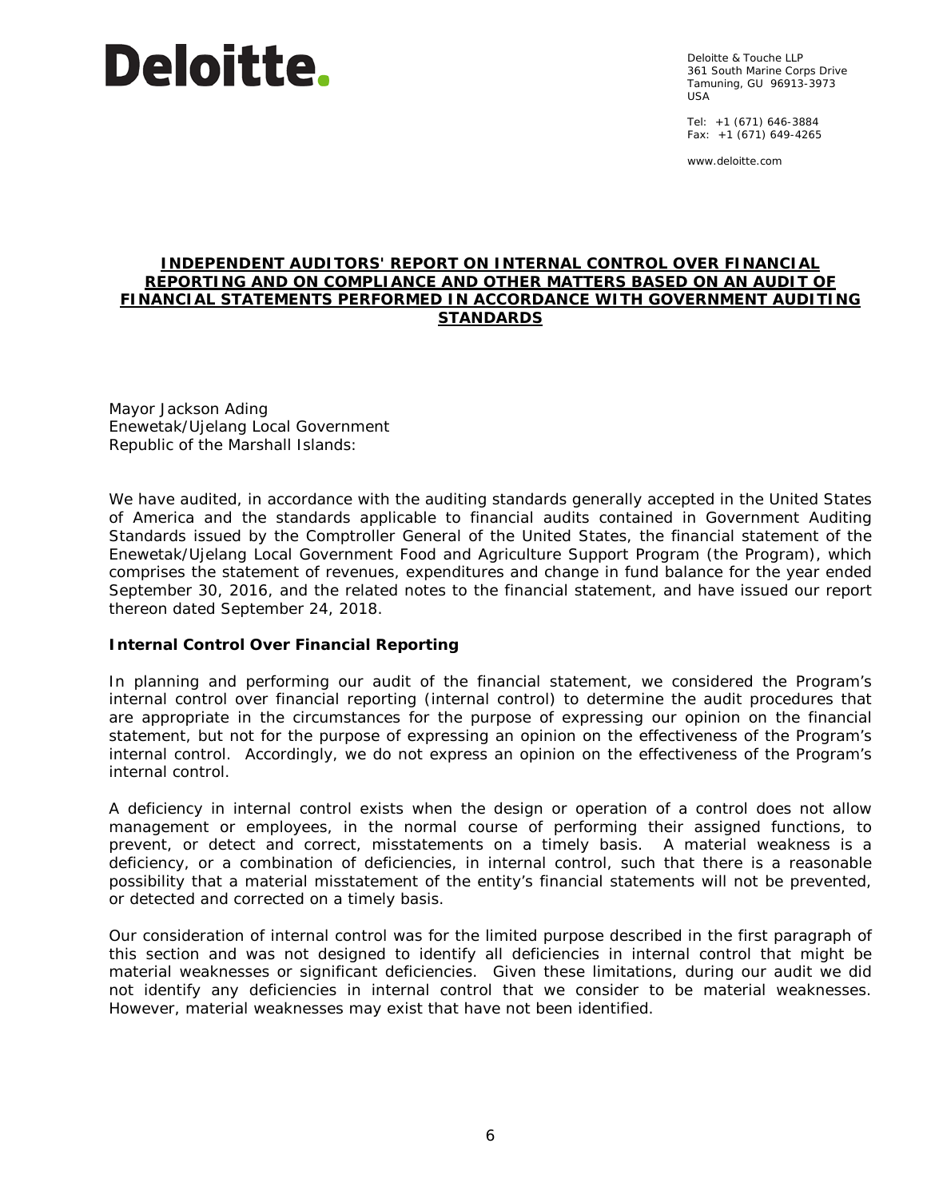Deloitte & Touche LLP 361 South Marine Corps Drive Tamuning, GU 96913-3973 USA

Tel: +1 (671) 646-3884 Fax: +1 (671) 649-4265

www.deloitte.com

### **INDEPENDENT AUDITORS' REPORT ON INTERNAL CONTROL OVER FINANCIAL REPORTING AND ON COMPLIANCE AND OTHER MATTERS BASED ON AN AUDIT OF FINANCIAL STATEMENTS PERFORMED IN ACCORDANCE WITH** *GOVERNMENT AUDITING STANDARDS*

Mayor Jackson Ading Enewetak/Ujelang Local Government Republic of the Marshall Islands:

We have audited, in accordance with the auditing standards generally accepted in the United States of America and the standards applicable to financial audits contained in *Government Auditing Standards* issued by the Comptroller General of the United States, the financial statement of the Enewetak/Ujelang Local Government Food and Agriculture Support Program (the Program), which comprises the statement of revenues, expenditures and change in fund balance for the year ended September 30, 2016, and the related notes to the financial statement, and have issued our report thereon dated September 24, 2018.

# **Internal Control Over Financial Reporting**

In planning and performing our audit of the financial statement, we considered the Program's internal control over financial reporting (internal control) to determine the audit procedures that are appropriate in the circumstances for the purpose of expressing our opinion on the financial statement, but not for the purpose of expressing an opinion on the effectiveness of the Program's internal control. Accordingly, we do not express an opinion on the effectiveness of the Program's internal control.

A *deficiency in internal control* exists when the design or operation of a control does not allow management or employees, in the normal course of performing their assigned functions, to prevent, or detect and correct, misstatements on a timely basis. A *material weakness* is a deficiency, or a combination of deficiencies, in internal control, such that there is a reasonable possibility that a material misstatement of the entity's financial statements will not be prevented, or detected and corrected on a timely basis.

Our consideration of internal control was for the limited purpose described in the first paragraph of this section and was not designed to identify all deficiencies in internal control that might be material weaknesses or significant deficiencies. Given these limitations, during our audit we did not identify any deficiencies in internal control that we consider to be material weaknesses. However, material weaknesses may exist that have not been identified.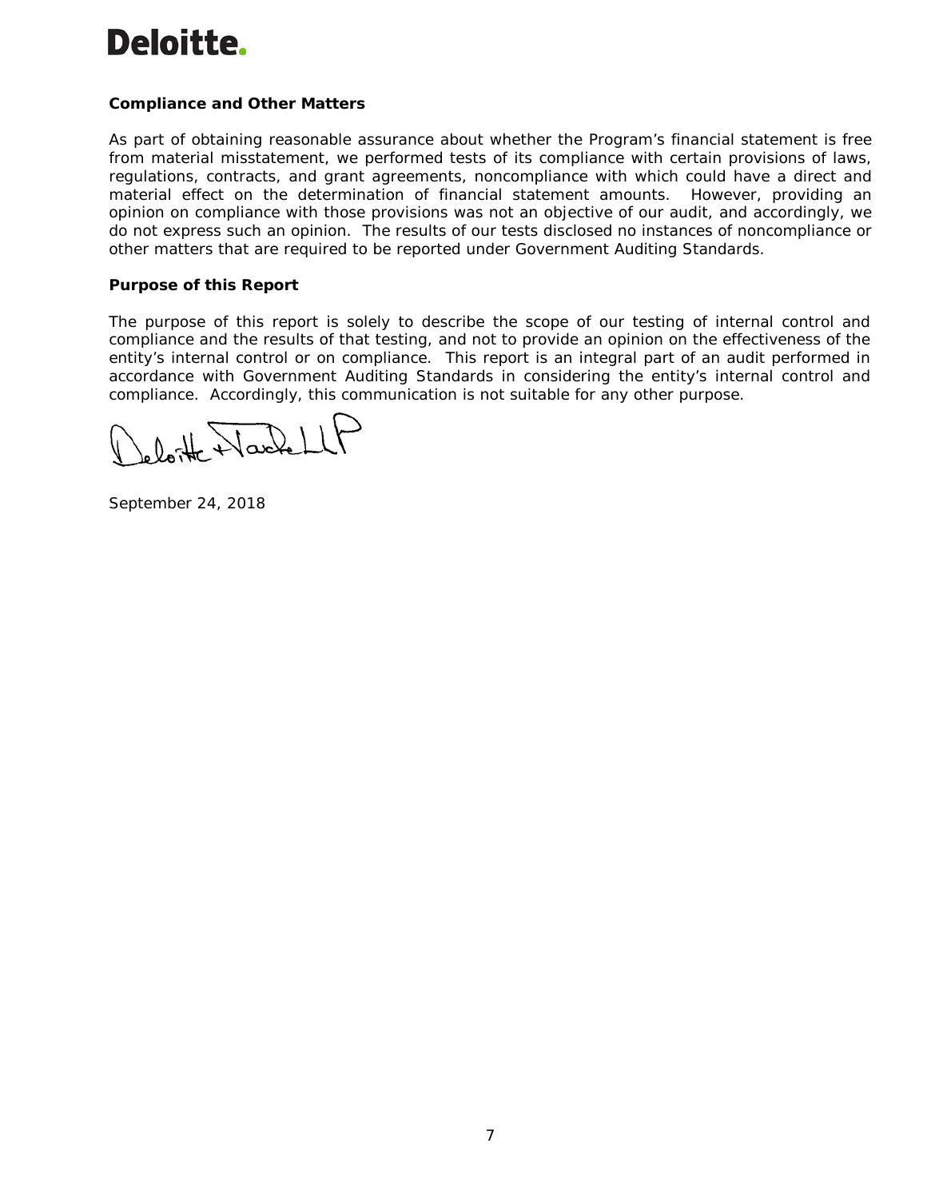# **Compliance and Other Matters**

As part of obtaining reasonable assurance about whether the Program's financial statement is free from material misstatement, we performed tests of its compliance with certain provisions of laws, regulations, contracts, and grant agreements, noncompliance with which could have a direct and material effect on the determination of financial statement amounts. However, providing an opinion on compliance with those provisions was not an objective of our audit, and accordingly, we do not express such an opinion. The results of our tests disclosed no instances of noncompliance or other matters that are required to be reported under *Government Auditing Standards*.

# **Purpose of this Report**

The purpose of this report is solely to describe the scope of our testing of internal control and compliance and the results of that testing, and not to provide an opinion on the effectiveness of the entity's internal control or on compliance. This report is an integral part of an audit performed in accordance with *Government Auditing Standards* in considering the entity's internal control and compliance. Accordingly, this communication is not suitable for any other purpose.

lot Nachel

September 24, 2018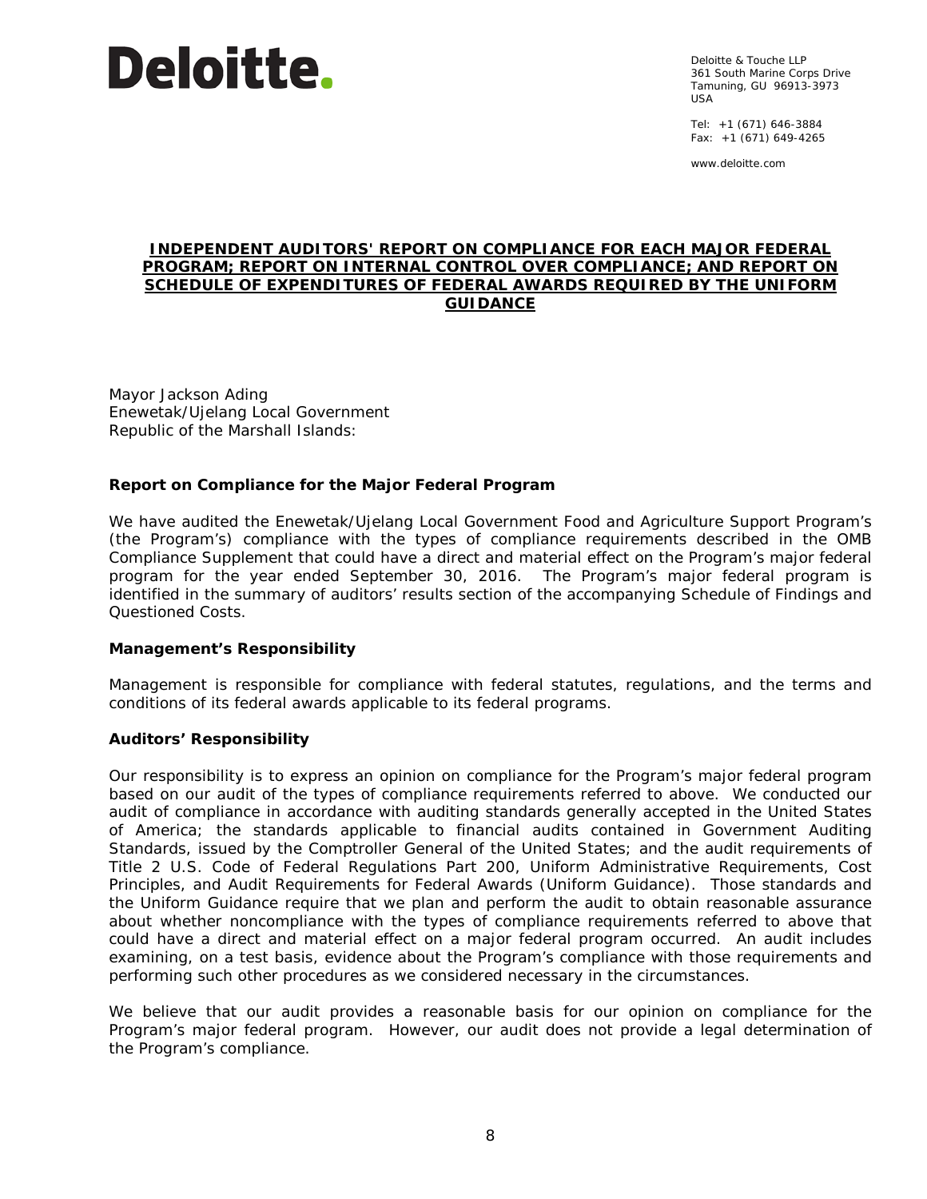Deloitte & Touche LLP 361 South Marine Corps Drive Tamuning, GU 96913-3973 USA

Tel: +1 (671) 646-3884 Fax: +1 (671) 649-4265

www.deloitte.com

# **INDEPENDENT AUDITORS' REPORT ON COMPLIANCE FOR EACH MAJOR FEDERAL PROGRAM; REPORT ON INTERNAL CONTROL OVER COMPLIANCE; AND REPORT ON SCHEDULE OF EXPENDITURES OF FEDERAL AWARDS REQUIRED BY THE UNIFORM GUIDANCE**

Mayor Jackson Ading Enewetak/Ujelang Local Government Republic of the Marshall Islands:

## **Report on Compliance for the Major Federal Program**

We have audited the Enewetak/Ujelang Local Government Food and Agriculture Support Program's (the Program's) compliance with the types of compliance requirements described in the *OMB Compliance Supplement* that could have a direct and material effect on the Program's major federal program for the year ended September 30, 2016. The Program's major federal program is identified in the summary of auditors' results section of the accompanying Schedule of Findings and Questioned Costs.

# *Management's Responsibility*

Management is responsible for compliance with federal statutes, regulations, and the terms and conditions of its federal awards applicable to its federal programs.

#### *Auditors' Responsibility*

Our responsibility is to express an opinion on compliance for the Program's major federal program based on our audit of the types of compliance requirements referred to above. We conducted our audit of compliance in accordance with auditing standards generally accepted in the United States of America; the standards applicable to financial audits contained in *Government Auditing Standards*, issued by the Comptroller General of the United States; and the audit requirements of Title 2 U.S. *Code of Federal Regulations* Part 200, *Uniform Administrative Requirements, Cost Principles, and Audit Requirements for Federal Awards* (Uniform Guidance). Those standards and the Uniform Guidance require that we plan and perform the audit to obtain reasonable assurance about whether noncompliance with the types of compliance requirements referred to above that could have a direct and material effect on a major federal program occurred. An audit includes examining, on a test basis, evidence about the Program's compliance with those requirements and performing such other procedures as we considered necessary in the circumstances.

We believe that our audit provides a reasonable basis for our opinion on compliance for the Program's major federal program. However, our audit does not provide a legal determination of the Program's compliance.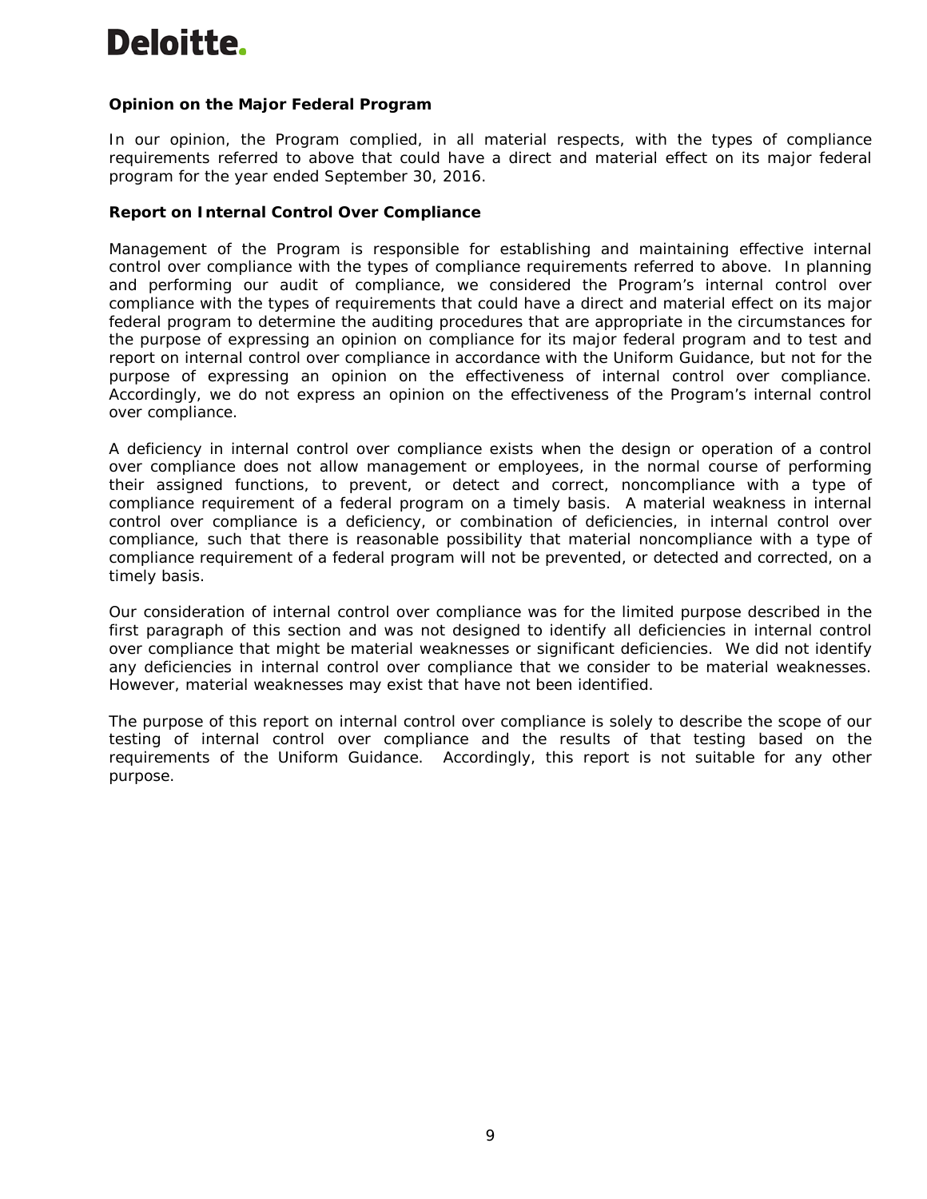# *Opinion on the Major Federal Program*

In our opinion, the Program complied, in all material respects, with the types of compliance requirements referred to above that could have a direct and material effect on its major federal program for the year ended September 30, 2016.

# **Report on Internal Control Over Compliance**

Management of the Program is responsible for establishing and maintaining effective internal control over compliance with the types of compliance requirements referred to above. In planning and performing our audit of compliance, we considered the Program's internal control over compliance with the types of requirements that could have a direct and material effect on its major federal program to determine the auditing procedures that are appropriate in the circumstances for the purpose of expressing an opinion on compliance for its major federal program and to test and report on internal control over compliance in accordance with the Uniform Guidance, but not for the purpose of expressing an opinion on the effectiveness of internal control over compliance. Accordingly, we do not express an opinion on the effectiveness of the Program's internal control over compliance.

A *deficiency in internal control over compliance* exists when the design or operation of a control over compliance does not allow management or employees, in the normal course of performing their assigned functions, to prevent, or detect and correct, noncompliance with a type of compliance requirement of a federal program on a timely basis. A *material weakness in internal control over compliance* is a deficiency, or combination of deficiencies, in internal control over compliance, such that there is reasonable possibility that material noncompliance with a type of compliance requirement of a federal program will not be prevented, or detected and corrected, on a timely basis.

Our consideration of internal control over compliance was for the limited purpose described in the first paragraph of this section and was not designed to identify all deficiencies in internal control over compliance that might be material weaknesses or significant deficiencies. We did not identify any deficiencies in internal control over compliance that we consider to be material weaknesses. However, material weaknesses may exist that have not been identified.

The purpose of this report on internal control over compliance is solely to describe the scope of our testing of internal control over compliance and the results of that testing based on the requirements of the Uniform Guidance. Accordingly, this report is not suitable for any other purpose.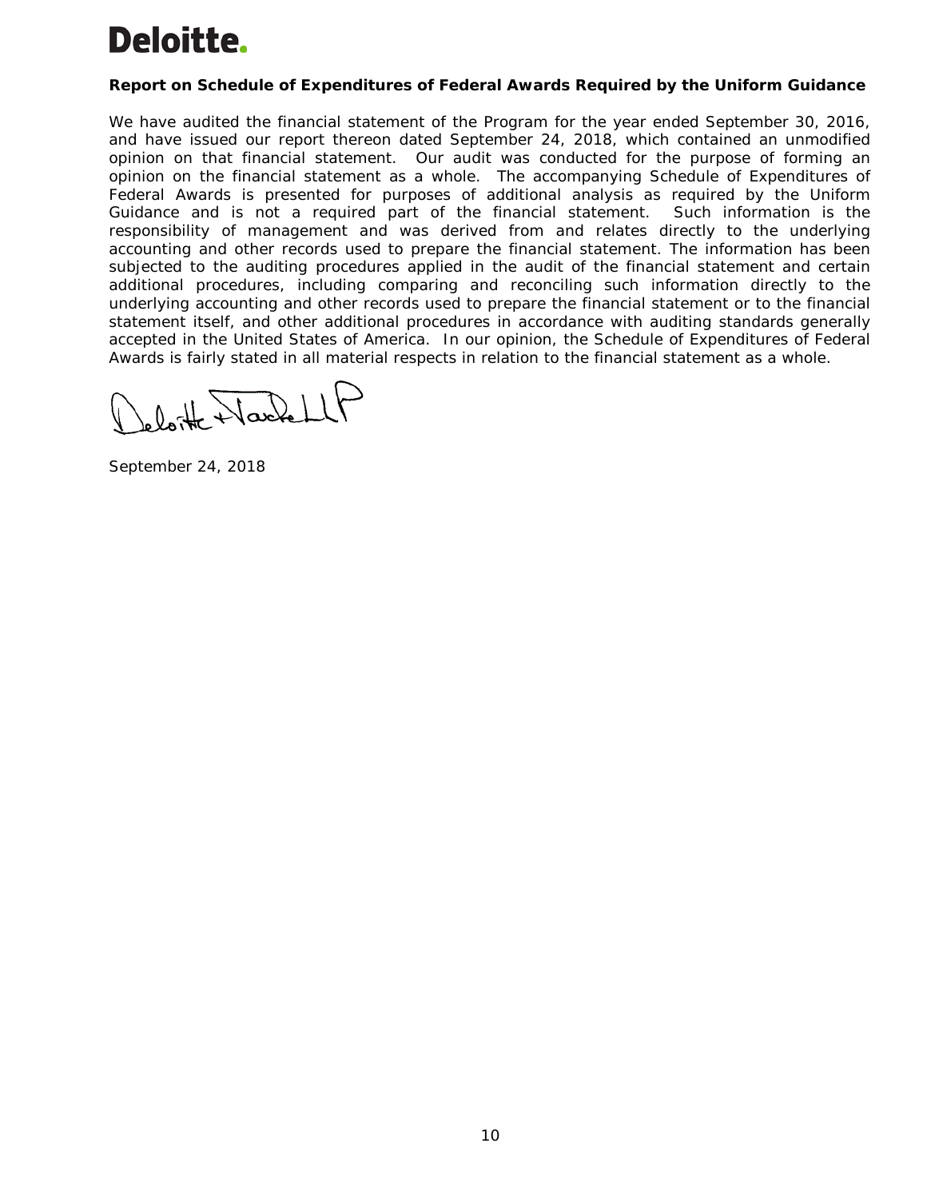# **Report on Schedule of Expenditures of Federal Awards Required by the Uniform Guidance**

We have audited the financial statement of the Program for the year ended September 30, 2016, and have issued our report thereon dated September 24, 2018, which contained an unmodified opinion on that financial statement. Our audit was conducted for the purpose of forming an opinion on the financial statement as a whole. The accompanying Schedule of Expenditures of Federal Awards is presented for purposes of additional analysis as required by the Uniform Guidance and is not a required part of the financial statement. Such information is the responsibility of management and was derived from and relates directly to the underlying accounting and other records used to prepare the financial statement. The information has been subjected to the auditing procedures applied in the audit of the financial statement and certain additional procedures, including comparing and reconciling such information directly to the underlying accounting and other records used to prepare the financial statement or to the financial statement itself, and other additional procedures in accordance with auditing standards generally accepted in the United States of America. In our opinion, the Schedule of Expenditures of Federal Awards is fairly stated in all material respects in relation to the financial statement as a whole.

lotte Wackell

September 24, 2018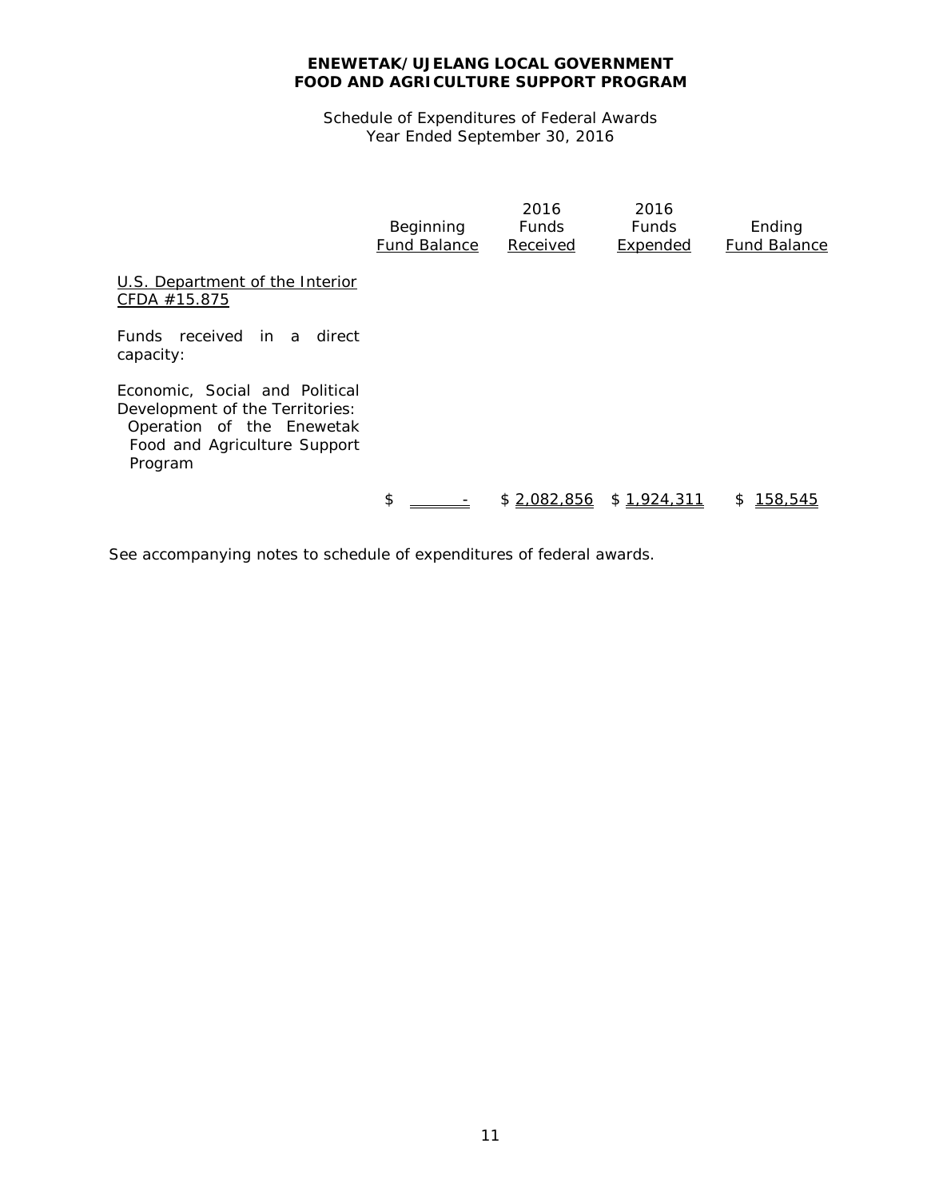Schedule of Expenditures of Federal Awards Year Ended September 30, 2016

|                                                                                                                                           | Beginning<br><b>Fund Balance</b> | 2016<br><b>Funds</b><br>Received | 2016<br><b>Funds</b><br>Expended | Ending<br><b>Fund Balance</b> |
|-------------------------------------------------------------------------------------------------------------------------------------------|----------------------------------|----------------------------------|----------------------------------|-------------------------------|
| U.S. Department of the Interior<br>CFDA #15.875                                                                                           |                                  |                                  |                                  |                               |
| Funds received in a<br>direct<br>capacity:                                                                                                |                                  |                                  |                                  |                               |
| Economic. Social and Political<br>Development of the Territories:<br>Operation of the Enewetak<br>Food and Agriculture Support<br>Program |                                  |                                  |                                  |                               |
|                                                                                                                                           | \$                               | \$2,082,856                      | \$1,924,311                      | <u>158,545</u><br>S.          |

See accompanying notes to schedule of expenditures of federal awards.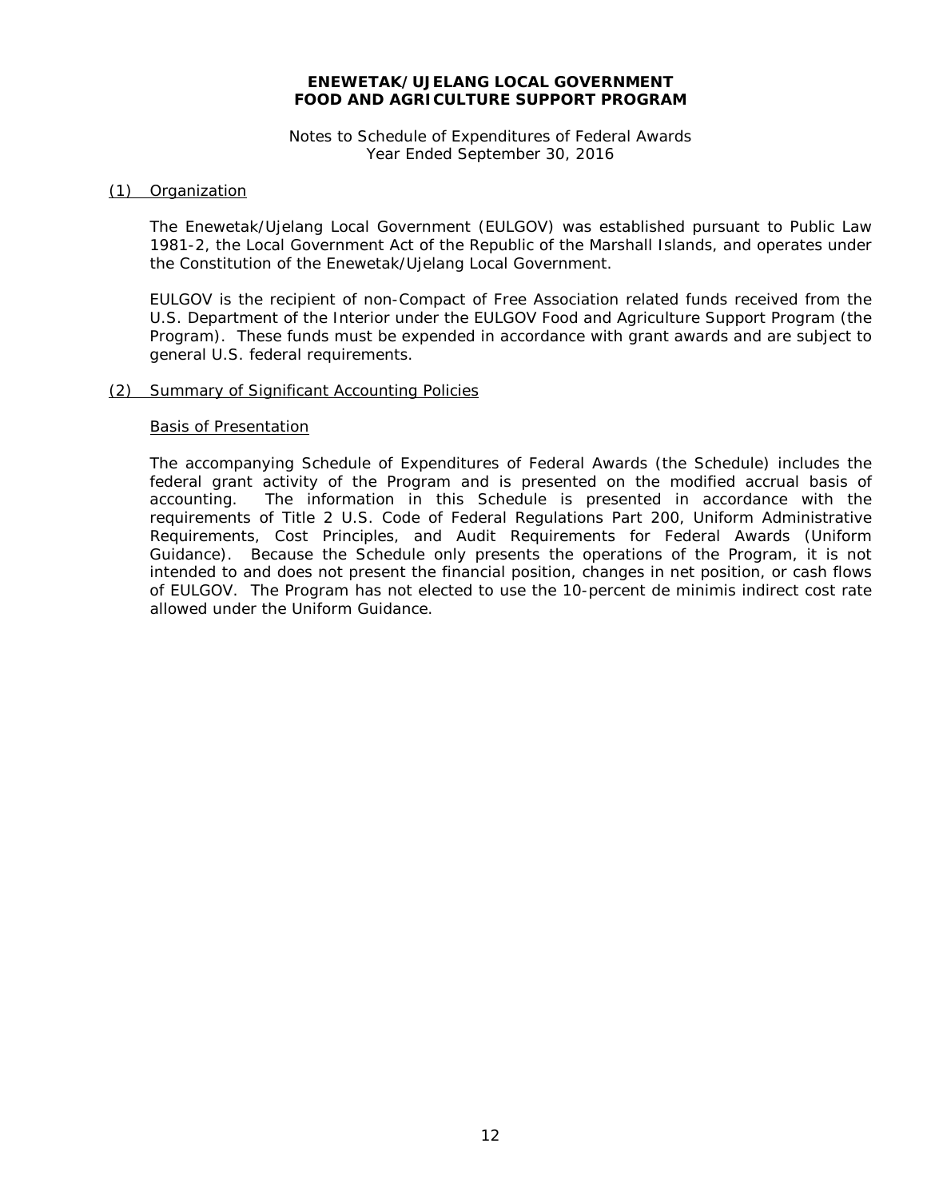## Notes to Schedule of Expenditures of Federal Awards Year Ended September 30, 2016

# (1) Organization

The Enewetak/Ujelang Local Government (EULGOV) was established pursuant to Public Law 1981-2, the Local Government Act of the Republic of the Marshall Islands, and operates under the Constitution of the Enewetak/Ujelang Local Government.

EULGOV is the recipient of non-Compact of Free Association related funds received from the U.S. Department of the Interior under the EULGOV Food and Agriculture Support Program (the Program). These funds must be expended in accordance with grant awards and are subject to general U.S. federal requirements.

# (2) Summary of Significant Accounting Policies

#### Basis of Presentation

The accompanying Schedule of Expenditures of Federal Awards (the Schedule) includes the federal grant activity of the Program and is presented on the modified accrual basis of accounting. The information in this Schedule is presented in accordance with the requirements of Title 2 U.S. *Code of Federal Regulations* Part 200, *Uniform Administrative Requirements, Cost Principles, and Audit Requirements for Federal Awards* (Uniform Guidance). Because the Schedule only presents the operations of the Program, it is not intended to and does not present the financial position, changes in net position, or cash flows of EULGOV. The Program has not elected to use the 10-percent de minimis indirect cost rate allowed under the Uniform Guidance.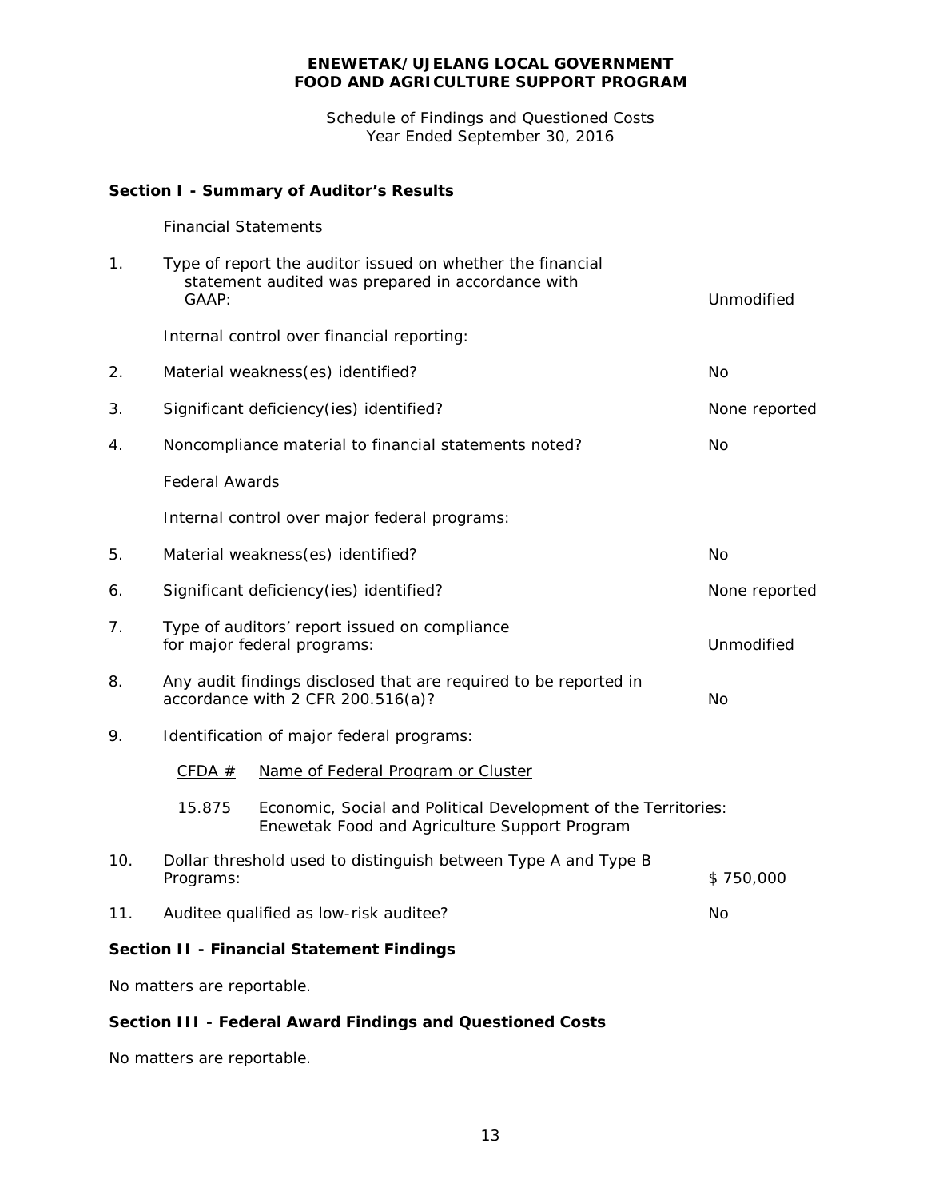Schedule of Findings and Questioned Costs Year Ended September 30, 2016

# **Section I - Summary of Auditor's Results**

# *Financial Statements*

| 1.  | Type of report the auditor issued on whether the financial<br>statement audited was prepared in accordance with<br>GAAP: | Unmodified                                                                                                      |  |  |
|-----|--------------------------------------------------------------------------------------------------------------------------|-----------------------------------------------------------------------------------------------------------------|--|--|
|     |                                                                                                                          | Internal control over financial reporting:                                                                      |  |  |
| 2.  | Material weakness(es) identified?                                                                                        | <b>No</b>                                                                                                       |  |  |
| 3.  | Significant deficiency(ies) identified?                                                                                  | None reported                                                                                                   |  |  |
| 4.  | Noncompliance material to financial statements noted?                                                                    | <b>No</b>                                                                                                       |  |  |
|     | <b>Federal Awards</b>                                                                                                    |                                                                                                                 |  |  |
|     | Internal control over major federal programs:                                                                            |                                                                                                                 |  |  |
| 5.  | Material weakness(es) identified?<br><b>No</b>                                                                           |                                                                                                                 |  |  |
| 6.  | Significant deficiency(ies) identified?<br>None reported                                                                 |                                                                                                                 |  |  |
| 7.  | Type of auditors' report issued on compliance<br>Unmodified<br>for major federal programs:                               |                                                                                                                 |  |  |
| 8.  | Any audit findings disclosed that are required to be reported in<br>accordance with 2 CFR 200.516(a)?<br>No              |                                                                                                                 |  |  |
| 9.  | Identification of major federal programs:                                                                                |                                                                                                                 |  |  |
|     | CFDA $#$                                                                                                                 | Name of Federal Program or Cluster                                                                              |  |  |
|     | 15.875                                                                                                                   | Economic, Social and Political Development of the Territories:<br>Enewetak Food and Agriculture Support Program |  |  |
| 10. | Dollar threshold used to distinguish between Type A and Type B<br>Programs:<br>\$750,000                                 |                                                                                                                 |  |  |
| 11. | Auditee qualified as low-risk auditee?<br>No                                                                             |                                                                                                                 |  |  |
|     |                                                                                                                          | <b>Section II - Financial Statement Findings</b>                                                                |  |  |
|     | No matters are reportable.                                                                                               |                                                                                                                 |  |  |

# **Section III - Federal Award Findings and Questioned Costs**

No matters are reportable.